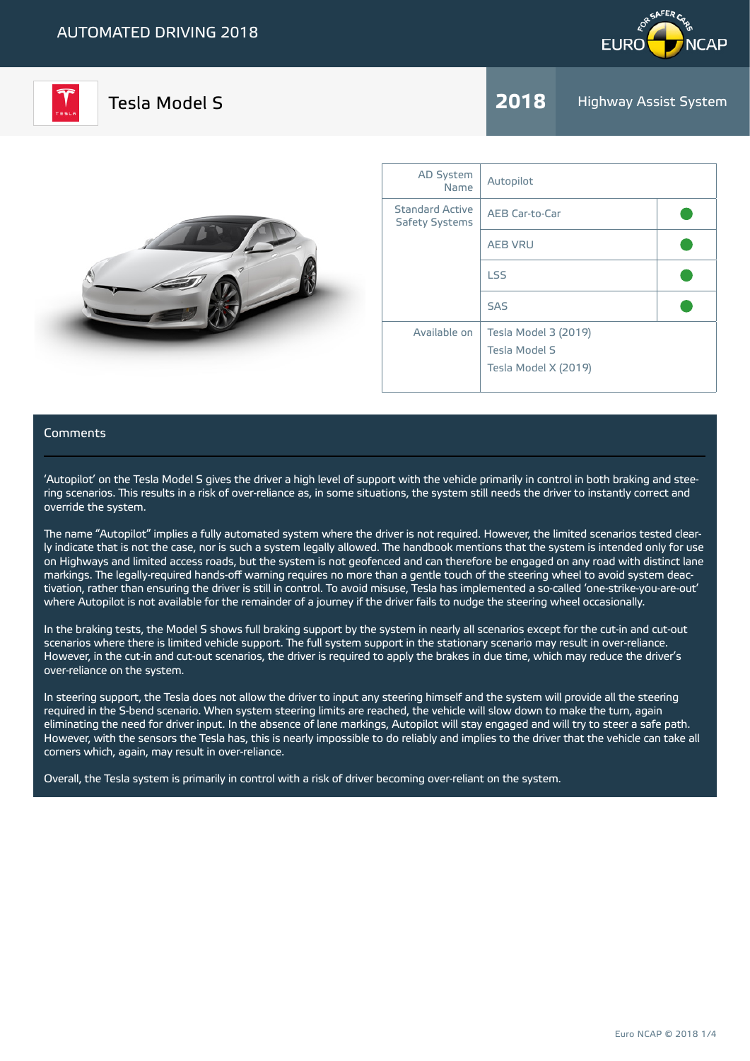



**Tesla Model S** 2018 Highway Assist System



| <b>AD System</b><br>Name                        | Autopilot                                                            |  |
|-------------------------------------------------|----------------------------------------------------------------------|--|
| <b>Standard Active</b><br><b>Safety Systems</b> | AEB Car-to-Car                                                       |  |
|                                                 | <b>AEB VRU</b>                                                       |  |
|                                                 | <b>LSS</b>                                                           |  |
|                                                 | <b>SAS</b>                                                           |  |
| Available on                                    | Tesla Model 3 (2019)<br><b>Tesla Model S</b><br>Tesla Model X (2019) |  |

#### Comments

'Autopilot' on the Tesla Model S gives the driver a high level of support with the vehicle primarily in control in both braking and steering scenarios. This results in a risk of over-reliance as, in some situations, the system still needs the driver to instantly correct and override the system.

The name "Autopilot" implies a fully automated system where the driver is not required. However, the limited scenarios tested clearly indicate that is not the case, nor is such a system legally allowed. The handbook mentions that the system is intended only for use on Highways and limited access roads, but the system is not geofenced and can therefore be engaged on any road with distinct lane markings. The legally-required hands-off warning requires no more than a gentle touch of the steering wheel to avoid system deactivation, rather than ensuring the driver is still in control. To avoid misuse, Tesla has implemented a so-called 'one-strike-you-are-out' where Autopilot is not available for the remainder of a journey if the driver fails to nudge the steering wheel occasionally.

In the braking tests, the Model S shows full braking support by the system in nearly all scenarios except for the cut-in and cut-out scenarios where there is limited vehicle support. The full system support in the stationary scenario may result in over-reliance. However, in the cut-in and cut-out scenarios, the driver is required to apply the brakes in due time, which may reduce the driver's over-reliance on the system.

In steering support, the Tesla does not allow the driver to input any steering himself and the system will provide all the steering required in the S-bend scenario. When system steering limits are reached, the vehicle will slow down to make the turn, again eliminating the need for driver input. In the absence of lane markings, Autopilot will stay engaged and will try to steer a safe path. However, with the sensors the Tesla has, this is nearly impossible to do reliably and implies to the driver that the vehicle can take all corners which, again, may result in over-reliance.

Overall, the Tesla system is primarily in control with a risk of driver becoming over-reliant on the system.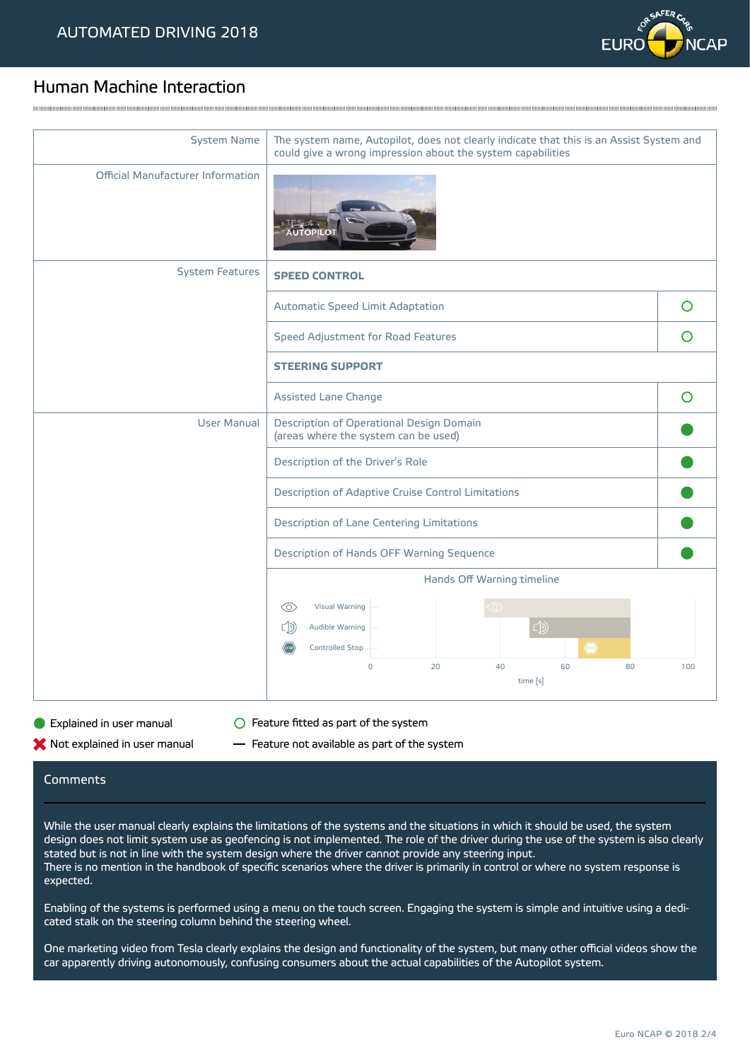

## Human Machine Interaction

| <b>System Name</b>                | The system name, Autopilot, does not clearly indicate that this is an Assist System and                 |         |  |
|-----------------------------------|---------------------------------------------------------------------------------------------------------|---------|--|
|                                   | could give a wrong impression about the system capabilities                                             |         |  |
| Official Manufacturer Information | ALITOPILO                                                                                               |         |  |
| <b>System Features</b>            | <b>SPEED CONTROL</b>                                                                                    |         |  |
|                                   | Automatic Speed Limit Adaptation                                                                        | $\circ$ |  |
|                                   | Speed Adjustment for Road Features                                                                      | O       |  |
|                                   | <b>STEERING SUPPORT</b>                                                                                 |         |  |
|                                   | Assisted Lane Change                                                                                    | O       |  |
| <b>User Manual</b>                | Description of Operational Design Domain<br>(areas where the system can be used)                        |         |  |
|                                   | Description of the Driver's Role                                                                        |         |  |
|                                   | Description of Adaptive Cruise Control Limitations                                                      |         |  |
|                                   | Description of Lane Centering Limitations                                                               |         |  |
|                                   | Description of Hands OFF Warning Sequence                                                               |         |  |
|                                   | Hands Off Warning timeline                                                                              |         |  |
|                                   | Visual Warning<br>$\circledcirc$<br>∞                                                                   |         |  |
|                                   | $\Box$<br>$\Box$<br>Audible Warning                                                                     |         |  |
|                                   | <b>Controlled Stop</b><br>$\langle$ <sub>stop</sub> $\rangle$<br>$\overline{0}$<br>20<br>40<br>60<br>80 | 100     |  |
|                                   | time [s]                                                                                                |         |  |

and the contract of the contract of the contract of the contract of the contract of the contract of the contract of the contract of the contract of the contract of the contract of the contract of the contract of the contra

**Explained in user manual Feature fitted as part of the system** 

 $\blacktriangleright$  Not explained in user manual  $\blacksquare$  Feature not available as part of the system

### Comments

While the user manual clearly explains the limitations of the systems and the situations in which it should be used, the system design does not limit system use as geofencing is not implemented. The role of the driver during the use of the system is also clearly stated but is not in line with the system design where the driver cannot provide any steering input. There is no mention in the handbook of specific scenarios where the driver is primarily in control or where no system response is expected.

Enabling of the systems is performed using a menu on the touch screen. Engaging the system is simple and intuitive using a dedicated stalk on the steering column behind the steering wheel.

One marketing video from Tesla clearly explains the design and functionality of the system, but many other official videos show the car apparently driving autonomously, confusing consumers about the actual capabilities of the Autopilot system.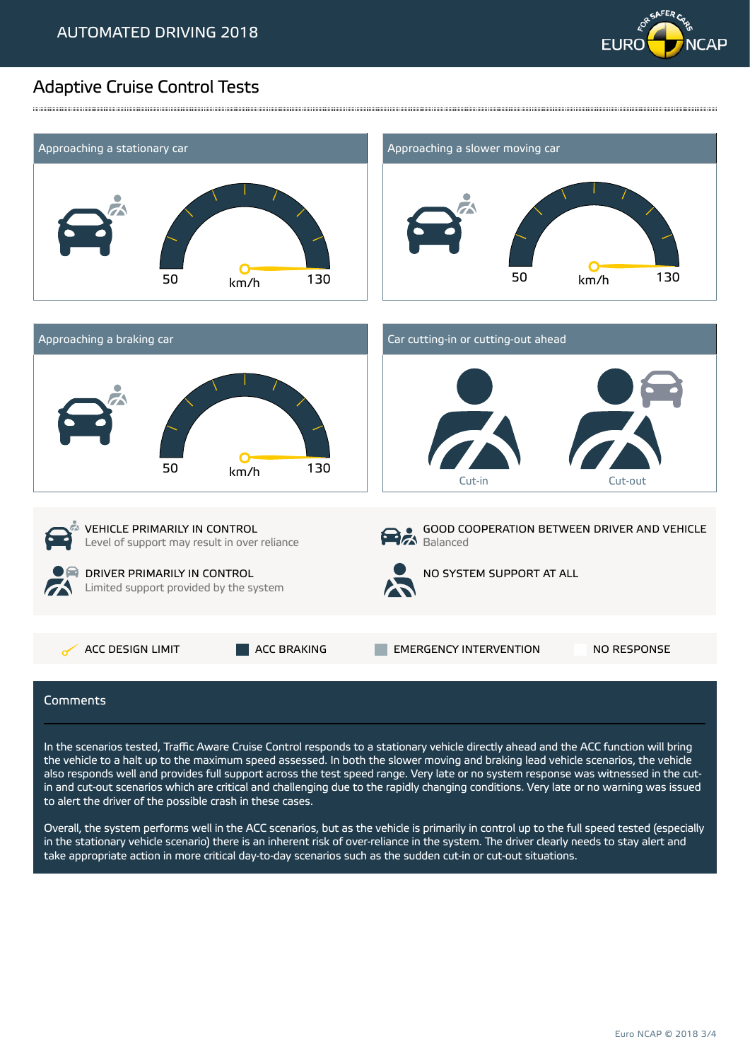

# Adaptive Cruise Control Tests



,我们的时候,我们的时候,我们的时候,我们的时候,我们的时候,我们的时候,我们的时候,我们的时候,我们的时候,我们的时候,我们的时候,我们的时候,我们的时候,我<br>第251章 我们的时候,我们的时候,我们的时候,我们的时候,我们的时候,我们的时候,我们的时候,我们的时候,我们的时候,我们的时候,我们的时候,我们的时候,我们

In the scenarios tested, Traffic Aware Cruise Control responds to a stationary vehicle directly ahead and the ACC function will bring the vehicle to a halt up to the maximum speed assessed. In both the slower moving and braking lead vehicle scenarios, the vehicle also responds well and provides full support across the test speed range. Very late or no system response was witnessed in the cutin and cut-out scenarios which are critical and challenging due to the rapidly changing conditions. Very late or no warning was issued to alert the driver of the possible crash in these cases.

Overall, the system performs well in the ACC scenarios, but as the vehicle is primarily in control up to the full speed tested (especially in the stationary vehicle scenario) there is an inherent risk of over-reliance in the system. The driver clearly needs to stay alert and take appropriate action in more critical day-to-day scenarios such as the sudden cut-in or cut-out situations.